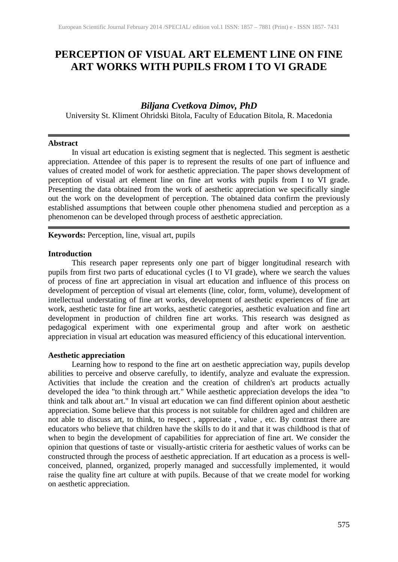# **PERCEPTION OF VISUAL ART ELEMENT LINE ON FINE ART WORKS WITH PUPILS FROM I TO VI GRADE**

## *Biljana Cvetkova Dimov, PhD*

University St. Kliment Ohridski Bitola, Faculty of Education Bitola, R. Macedonia

#### **Abstract**

In visual art education is existing segment that is neglected. This segment is aesthetic appreciation. Attendee of this paper is to represent the results of one part of influence and values of created model of work for aesthetic appreciation. The paper shows development of perception of visual art element line on fine art works with pupils from I to VI grade. Presenting the data obtained from the work of aesthetic appreciation we specifically single out the work on the development of perception. The obtained data confirm the previously established assumptions that between couple other phenomena studied and perception as a phenomenon can be developed through process of aesthetic appreciation.

**Keywords:** Perception, line, visual art, pupils

#### **Introduction**

This research paper represents only one part of bigger longitudinal research with pupils from first two parts of educational cycles (I to VI grade), where we search the values of process of fine art appreciation in visual art education and influence of this process on development of perception of visual art elements (line, color, form, volume), development of intellectual understating of fine art works, development of aesthetic experiences of fine art work, aesthetic taste for fine art works, aesthetic categories, aesthetic evaluation and fine art development in production of children fine art works. This research was designed as pedagogical experiment with one experimental group and after work on aesthetic appreciation in visual art education was measured efficiency of this educational intervention.

## **Aesthetic appreciation**

Learning how to respond to the fine art on aesthetic appreciation way, pupils develop abilities to perceive and observe carefully, to identify, analyze and evaluate the expression. Activities that include the creation and the creation of children's art products actually developed the idea "to think through art." While aesthetic appreciation develops the idea "to think and talk about art." In visual art education we can find different opinion about aesthetic appreciation. Some believe that this process is not suitable for children aged and children are not able to discuss art, to think, to respect , appreciate , value , etc. By contrast there are educators who believe that children have the skills to do it and that it was childhood is that of when to begin the development of capabilities for appreciation of fine art. We consider the opinion that questions of taste or visually-artistic criteria for aesthetic values of works can be constructed through the process of aesthetic appreciation. If art education as a process is wellconceived, planned, organized, properly managed and successfully implemented, it would raise the quality fine art culture at with pupils. Because of that we create model for working on aesthetic appreciation.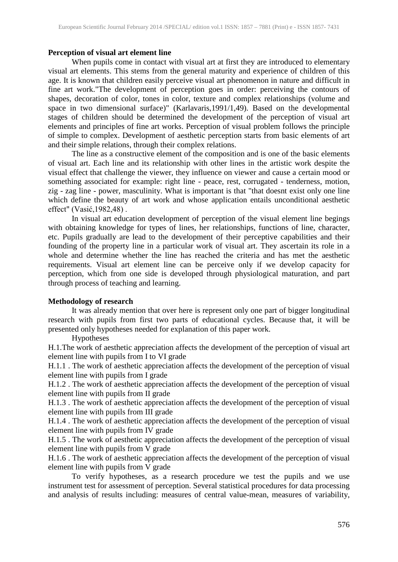## **Perception of visual art element line**

When pupils come in contact with visual art at first they are introduced to elementary visual art elements. This stems from the general maturity and experience of children of this age. It is known that children easily perceive visual art phenomenon in nature and difficult in fine art work."The development of perception goes in order: perceiving the contours of shapes, decoration of color, tones in color, texture and complex relationships (volume and space in two dimensional surface)" (Karlavaris,1991/1,49). Based on the developmental stages of children should be determined the development of the perception of visual art elements and principles of fine art works. Perception of visual problem follows the principle of simple to complex. Development of aesthetic perception starts from basic elements of art and their simple relations, through their complex relations.

The line as a constructive element of the composition and is one of the basic elements of visual art. Each line and its relationship with other lines in the artistic work despite the visual effect that challenge the viewer, they influence on viewer and cause a certain mood or something associated for example: right line - peace, rest, corrugated - tenderness, motion, zig - zag line - power, masculinity. What is important is that "that doesnt exist only one line which define the beauty of art work and whose application entails unconditional aesthetic effect" (Vasić,1982,48) .

In visual art education development of perception of the visual element line begings with obtaining knowledge for types of lines, her relationships, functions of line, character, etc. Pupils gradually are lead to the development of their perceptive capabilities and their founding of the property line in a particular work of visual art. They ascertain its role in a whole and determine whether the line has reached the criteria and has met the aesthetic requirements. Visual art element line can be perceive only if we develop capacity for perception, which from one side is developed through physiological maturation, and part through process of teaching and learning.

## **Methodology of research**

It was already mention that over here is represent only one part of bigger longitudinal research with pupils from first two parts of educational cycles. Because that, it will be presented only hypotheses needed for explanation of this paper work.

Hypotheses

H.1.The work of aesthetic appreciation affects the development of the perception of visual art element line with pupils from I to VI grade

H.1.1 . The work of aesthetic appreciation affects the development of the perception of visual element line with pupils from I grade

H.1.2 . The work of aesthetic appreciation affects the development of the perception of visual element line with pupils from II grade

H.1.3 . The work of aesthetic appreciation affects the development of the perception of visual element line with pupils from III grade

H.1.4 . The work of aesthetic appreciation affects the development of the perception of visual element line with pupils from IV grade

H.1.5 . The work of aesthetic appreciation affects the development of the perception of visual element line with pupils from V grade

H.1.6 . The work of aesthetic appreciation affects the development of the perception of visual element line with pupils from V grade

To verify hypotheses, as a research procedure we test the pupils and we use instrument test for assessment of perception. Several statistical procedures for data processing and analysis of results including: measures of central value-mean, measures of variability,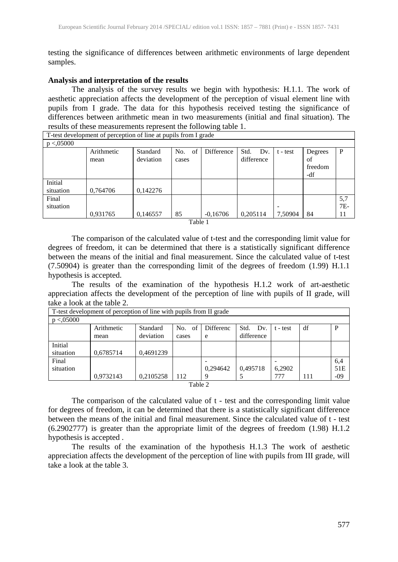testing the significance of differences between arithmetic environments of large dependent samples.

#### **Analysis and interpretation of the results**

The analysis of the survey results we begin with hypothesis: H.1.1. The work of aesthetic appreciation affects the development of the perception of visual element line with pupils from I grade. The data for this hypothesis received testing the significance of differences between arithmetic mean in two measurements (initial and final situation). The results of these measurements represent the following table 1.

| T-test development of perception of line at pupils from I grade |            |           |           |            |             |            |         |       |  |
|-----------------------------------------------------------------|------------|-----------|-----------|------------|-------------|------------|---------|-------|--|
| p < 0.05000                                                     |            |           |           |            |             |            |         |       |  |
|                                                                 | Arithmetic | Standard  | of<br>No. | Difference | Std.<br>Dv. | $t - test$ | Degrees | P     |  |
|                                                                 | mean       | deviation | cases     |            | difference  |            | οf      |       |  |
|                                                                 |            |           |           |            |             |            | freedom |       |  |
|                                                                 |            |           |           |            |             |            | -df     |       |  |
| Initial                                                         |            |           |           |            |             |            |         |       |  |
| situation                                                       | 0,764706   | 0,142276  |           |            |             |            |         |       |  |
| Final                                                           |            |           |           |            |             |            |         | 5,7   |  |
| situation                                                       |            |           |           |            |             | -          |         | $7E-$ |  |
|                                                                 | 0,931765   | 0,146557  | 85        | $-0,16706$ | 0,205114    | 7,50904    | 84      | 11    |  |
|                                                                 |            |           |           |            |             |            |         |       |  |

Table 1

The comparison of the calculated value of t-test and the corresponding limit value for degrees of freedom, it can be determined that there is a statistically significant difference between the means of the initial and final measurement. Since the calculated value of t-test (7.50904) is greater than the corresponding limit of the degrees of freedom (1.99) H.1.1 hypothesis is accepted.

The results of the examination of the hypothesis H.1.2 work of art-aesthetic appreciation affects the development of the perception of line with pupils of II grade, will take a look at the table 2.

|             | T-test development of perception of line with pupils from II grade |           |           |           |             |          |     |       |  |
|-------------|--------------------------------------------------------------------|-----------|-----------|-----------|-------------|----------|-----|-------|--|
| p < 0.05000 |                                                                    |           |           |           |             |          |     |       |  |
|             | Arithmetic                                                         | Standard  | No.<br>of | Differenc | Std.<br>Dv. | t - test | df  |       |  |
|             | mean                                                               | deviation | cases     | e         | difference  |          |     |       |  |
| Initial     |                                                                    |           |           |           |             |          |     |       |  |
| situation   | 0,6785714                                                          | 0,4691239 |           |           |             |          |     |       |  |
| Final       |                                                                    |           |           |           |             |          |     | 6,4   |  |
| situation   |                                                                    |           |           | 0,294642  | 0,495718    | 6,2902   |     | 51E   |  |
|             | 0,9732143                                                          | 0,2105258 | 112       | q         |             | 777      | 111 | $-09$ |  |
| Table 2     |                                                                    |           |           |           |             |          |     |       |  |

The comparison of the calculated value of t - test and the corresponding limit value for degrees of freedom, it can be determined that there is a statistically significant difference between the means of the initial and final measurement. Since the calculated value of t - test (6.2902777) is greater than the appropriate limit of the degrees of freedom (1.98) H.1.2 hypothesis is accepted .

The results of the examination of the hypothesis H.1.3 The work of aesthetic appreciation affects the development of the perception of line with pupils from III grade, will take a look at the table 3.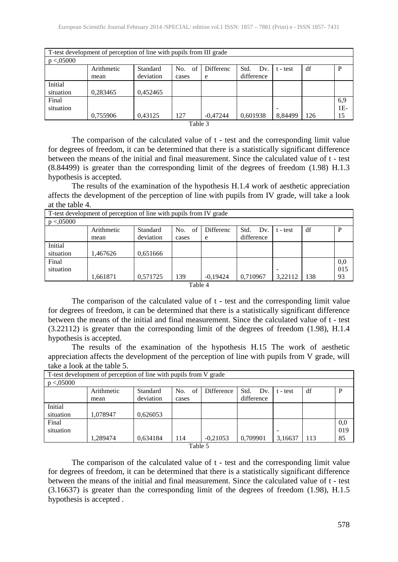| T-test development of perception of line with pupils from III grade |            |           |           |            |             |                          |     |       |  |  |
|---------------------------------------------------------------------|------------|-----------|-----------|------------|-------------|--------------------------|-----|-------|--|--|
| p < 0.05000                                                         |            |           |           |            |             |                          |     |       |  |  |
|                                                                     | Arithmetic | Standard  | of<br>No. | Differenc  | Std.<br>Dv. | t - test                 | df  | P     |  |  |
|                                                                     | mean       | deviation | cases     | e          | difference  |                          |     |       |  |  |
| Initial                                                             |            |           |           |            |             |                          |     |       |  |  |
| situation                                                           | 0,283465   | 0.452465  |           |            |             |                          |     |       |  |  |
| Final                                                               |            |           |           |            |             |                          |     | 6,9   |  |  |
| situation                                                           |            |           |           |            |             | $\overline{\phantom{0}}$ |     | $1E-$ |  |  |
|                                                                     | 0,755906   | 0.43125   | 127       | $-0.47244$ | 0,601938    | 8.84499                  | 126 | 15    |  |  |

Table 3

The comparison of the calculated value of t - test and the corresponding limit value for degrees of freedom, it can be determined that there is a statistically significant difference between the means of the initial and final measurement. Since the calculated value of t - test (8.84499) is greater than the corresponding limit of the degrees of freedom (1.98) H.1.3 hypothesis is accepted.

The results of the examination of the hypothesis H.1.4 work of aesthetic appreciation affects the development of the perception of line with pupils from IV grade, will take a look at the table 4.

| T-test development of perception of line with pupils from IV grade |            |           |           |                  |             |                          |     |     |  |
|--------------------------------------------------------------------|------------|-----------|-----------|------------------|-------------|--------------------------|-----|-----|--|
| p < 0.05000                                                        |            |           |           |                  |             |                          |     |     |  |
|                                                                    | Arithmetic | Standard  | of<br>No. | <b>Differenc</b> | Std.<br>Dv. | $t - test$               | df  | P   |  |
|                                                                    | mean       | deviation | cases     | e                | difference  |                          |     |     |  |
| Initial                                                            |            |           |           |                  |             |                          |     |     |  |
| situation                                                          | .467626    | 0.651666  |           |                  |             |                          |     |     |  |
| Final                                                              |            |           |           |                  |             |                          |     | 0,0 |  |
| situation                                                          |            |           |           |                  |             | $\overline{\phantom{a}}$ |     | 015 |  |
|                                                                    | 1,661871   | 0,571725  | 139       | $-0,19424$       | 0,710967    | 3.22112                  | 138 | 93  |  |
| Table $\Lambda$                                                    |            |           |           |                  |             |                          |     |     |  |

Table 4

The comparison of the calculated value of t - test and the corresponding limit value for degrees of freedom, it can be determined that there is a statistically significant difference between the means of the initial and final measurement. Since the calculated value of t - test (3.22112) is greater than the corresponding limit of the degrees of freedom (1.98), H.1.4 hypothesis is accepted.

The results of the examination of the hypothesis H.15 The work of aesthetic appreciation affects the development of the perception of line with pupils from V grade, will take a look at the table 5.

| T-test development of perception of line with pupils from V grade |            |           |           |            |             |            |     |     |  |
|-------------------------------------------------------------------|------------|-----------|-----------|------------|-------------|------------|-----|-----|--|
| p < 0.05000                                                       |            |           |           |            |             |            |     |     |  |
|                                                                   | Arithmetic | Standard  | of<br>No. | Difference | Std.<br>Dv. | $t - test$ | df  | P   |  |
|                                                                   | mean       | deviation | cases     |            | difference  |            |     |     |  |
| Initial                                                           |            |           |           |            |             |            |     |     |  |
| situation                                                         | 1,078947   | 0,626053  |           |            |             |            |     |     |  |
| Final                                                             |            |           |           |            |             |            |     | 0,0 |  |
| situation                                                         |            |           |           |            |             | -          |     | 019 |  |
|                                                                   | 1.289474   | 0,634184  | 114       | $-0,21053$ | 0,709901    | 3,16637    | 113 | 85  |  |
| Table 5                                                           |            |           |           |            |             |            |     |     |  |

The comparison of the calculated value of t - test and the corresponding limit value for degrees of freedom, it can be determined that there is a statistically significant difference between the means of the initial and final measurement. Since the calculated value of t - test (3.16637) is greater than the corresponding limit of the degrees of freedom (1.98), H.1.5 hypothesis is accepted .